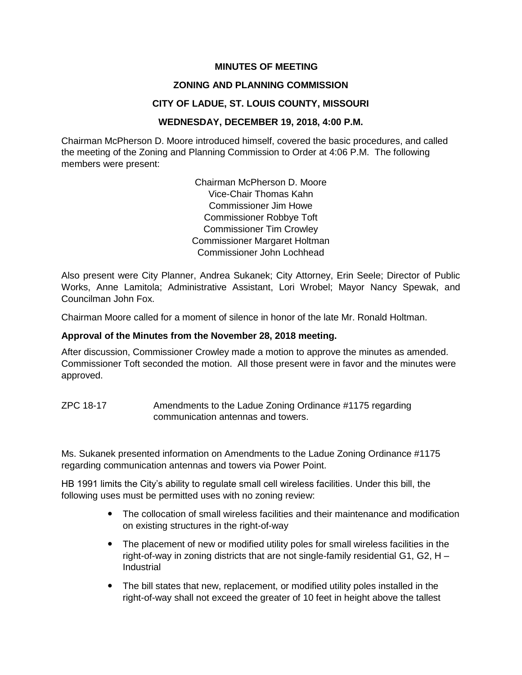### **MINUTES OF MEETING**

### **ZONING AND PLANNING COMMISSION**

### **CITY OF LADUE, ST. LOUIS COUNTY, MISSOURI**

### **WEDNESDAY, DECEMBER 19, 2018, 4:00 P.M.**

Chairman McPherson D. Moore introduced himself, covered the basic procedures, and called the meeting of the Zoning and Planning Commission to Order at 4:06 P.M. The following members were present:

> Chairman McPherson D. Moore Vice-Chair Thomas Kahn Commissioner Jim Howe Commissioner Robbye Toft Commissioner Tim Crowley Commissioner Margaret Holtman Commissioner John Lochhead

Also present were City Planner, Andrea Sukanek; City Attorney, Erin Seele; Director of Public Works, Anne Lamitola; Administrative Assistant, Lori Wrobel; Mayor Nancy Spewak, and Councilman John Fox.

Chairman Moore called for a moment of silence in honor of the late Mr. Ronald Holtman.

#### **Approval of the Minutes from the November 28, 2018 meeting.**

After discussion, Commissioner Crowley made a motion to approve the minutes as amended. Commissioner Toft seconded the motion. All those present were in favor and the minutes were approved.

ZPC 18-17 Amendments to the Ladue Zoning Ordinance #1175 regarding communication antennas and towers.

Ms. Sukanek presented information on Amendments to the Ladue Zoning Ordinance #1175 regarding communication antennas and towers via Power Point.

HB 1991 limits the City's ability to regulate small cell wireless facilities. Under this bill, the following uses must be permitted uses with no zoning review:

- The collocation of small wireless facilities and their maintenance and modification on existing structures in the right-of-way
- The placement of new or modified utility poles for small wireless facilities in the right-of-way in zoning districts that are not single-family residential G1, G2, H – Industrial
- The bill states that new, replacement, or modified utility poles installed in the right-of-way shall not exceed the greater of 10 feet in height above the tallest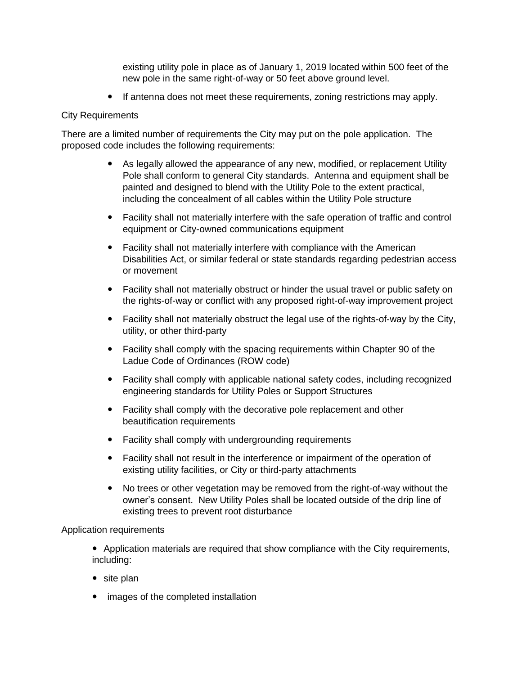existing utility pole in place as of January 1, 2019 located within 500 feet of the new pole in the same right-of-way or 50 feet above ground level.

If antenna does not meet these requirements, zoning restrictions may apply.

# City Requirements

There are a limited number of requirements the City may put on the pole application. The proposed code includes the following requirements:

- As legally allowed the appearance of any new, modified, or replacement Utility Pole shall conform to general City standards. Antenna and equipment shall be painted and designed to blend with the Utility Pole to the extent practical, including the concealment of all cables within the Utility Pole structure
- Facility shall not materially interfere with the safe operation of traffic and control equipment or City-owned communications equipment
- Facility shall not materially interfere with compliance with the American Disabilities Act, or similar federal or state standards regarding pedestrian access or movement
- Facility shall not materially obstruct or hinder the usual travel or public safety on the rights-of-way or conflict with any proposed right-of-way improvement project
- Facility shall not materially obstruct the legal use of the rights-of-way by the City, utility, or other third-party
- Facility shall comply with the spacing requirements within Chapter 90 of the Ladue Code of Ordinances (ROW code)
- Facility shall comply with applicable national safety codes, including recognized engineering standards for Utility Poles or Support Structures
- Facility shall comply with the decorative pole replacement and other beautification requirements
- Facility shall comply with undergrounding requirements
- Facility shall not result in the interference or impairment of the operation of existing utility facilities, or City or third-party attachments
- No trees or other vegetation may be removed from the right-of-way without the owner's consent. New Utility Poles shall be located outside of the drip line of existing trees to prevent root disturbance

# Application requirements

- Application materials are required that show compliance with the City requirements, including:
- site plan
- images of the completed installation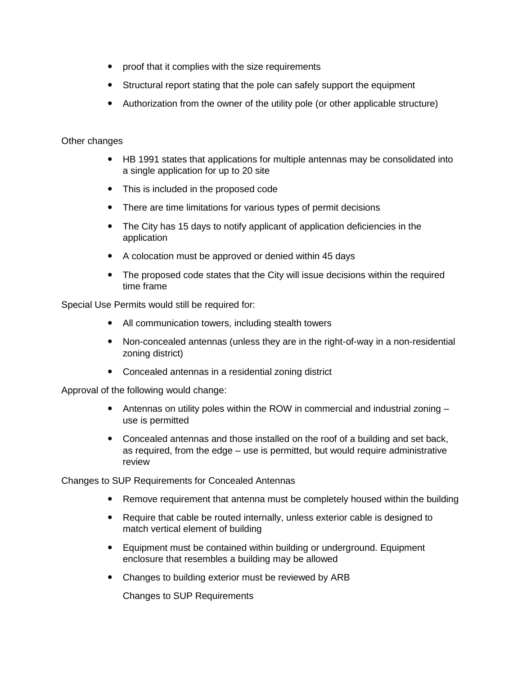- proof that it complies with the size requirements
- Structural report stating that the pole can safely support the equipment
- Authorization from the owner of the utility pole (or other applicable structure)

# Other changes

- HB 1991 states that applications for multiple antennas may be consolidated into a single application for up to 20 site
- This is included in the proposed code
- There are time limitations for various types of permit decisions
- The City has 15 days to notify applicant of application deficiencies in the application
- A colocation must be approved or denied within 45 days
- The proposed code states that the City will issue decisions within the required time frame

Special Use Permits would still be required for:

- All communication towers, including stealth towers
- Non-concealed antennas (unless they are in the right-of-way in a non-residential zoning district)
- Concealed antennas in a residential zoning district

Approval of the following would change:

- Antennas on utility poles within the ROW in commercial and industrial zoning use is permitted
- Concealed antennas and those installed on the roof of a building and set back, as required, from the edge – use is permitted, but would require administrative review

Changes to SUP Requirements for Concealed Antennas

- Remove requirement that antenna must be completely housed within the building
- Require that cable be routed internally, unless exterior cable is designed to match vertical element of building
- Equipment must be contained within building or underground. Equipment enclosure that resembles a building may be allowed
- Changes to building exterior must be reviewed by ARB

Changes to SUP Requirements